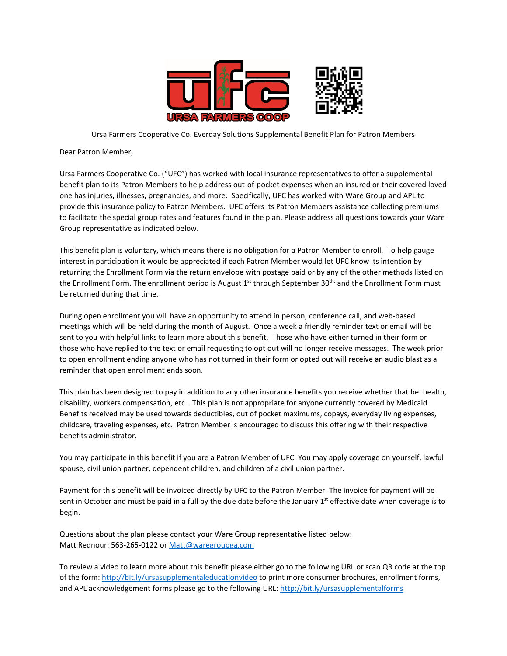

Ursa Farmers Cooperative Co. Everday Solutions Supplemental Benefit Plan for Patron Members

Dear Patron Member,

Ursa Farmers Cooperative Co. ("UFC") has worked with local insurance representatives to offer a supplemental benefit plan to its Patron Members to help address out-of-pocket expenses when an insured or their covered loved one has injuries, illnesses, pregnancies, and more. Specifically, UFC has worked with Ware Group and APL to provide this insurance policy to Patron Members. UFC offers its Patron Members assistance collecting premiums to facilitate the special group rates and features found in the plan. Please address all questions towards your Ware Group representative as indicated below.

This benefit plan is voluntary, which means there is no obligation for a Patron Member to enroll. To help gauge interest in participation it would be appreciated if each Patron Member would let UFC know its intention by returning the Enrollment Form via the return envelope with postage paid or by any of the other methods listed on the Enrollment Form. The enrollment period is August 1<sup>st</sup> through September 30<sup>th,</sup> and the Enrollment Form must be returned during that time.

During open enrollment you will have an opportunity to attend in person, conference call, and web-based meetings which will be held during the month of August. Once a week a friendly reminder text or email will be sent to you with helpful links to learn more about this benefit. Those who have either turned in their form or those who have replied to the text or email requesting to opt out will no longer receive messages. The week prior to open enrollment ending anyone who has not turned in their form or opted out will receive an audio blast as a reminder that open enrollment ends soon.

This plan has been designed to pay in addition to any other insurance benefits you receive whether that be: health, disability, workers compensation, etc… This plan is not appropriate for anyone currently covered by Medicaid. Benefits received may be used towards deductibles, out of pocket maximums, copays, everyday living expenses, childcare, traveling expenses, etc. Patron Member is encouraged to discuss this offering with their respective benefits administrator.

You may participate in this benefit if you are a Patron Member of UFC. You may apply coverage on yourself, lawful spouse, civil union partner, dependent children, and children of a civil union partner.

Payment for this benefit will be invoiced directly by UFC to the Patron Member. The invoice for payment will be sent in October and must be paid in a full by the due date before the January  $1<sup>st</sup>$  effective date when coverage is to begin.

Questions about the plan please contact your Ware Group representative listed below: Matt Rednour: 563-265-0122 or [Matt@waregroupga.com](mailto:Matt@waregroupga.com) 

To review a video to learn more about this benefit please either go to the following URL or scan QR code at the top of the form: <http://bit.ly/ursasupplementaleducationvideo> to print more consumer brochures, enrollment forms, and APL acknowledgement forms please go to the following URL: <http://bit.ly/ursasupplementalforms>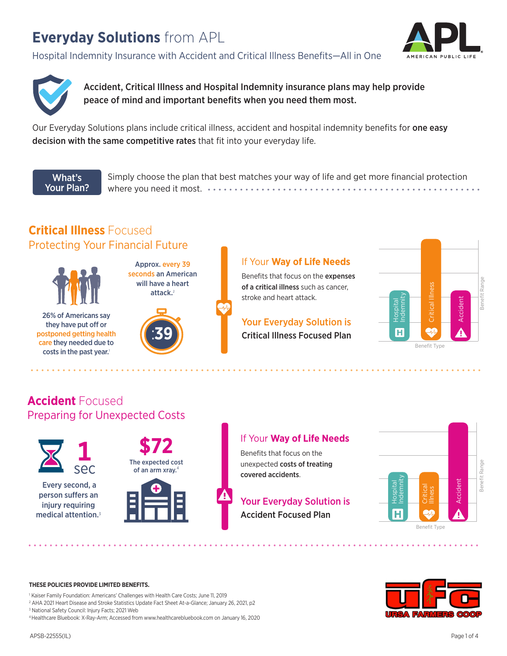# **Everyday Solutions** from APL

Hospital Indemnity Insurance with Accident and Critical Illness Benefits—All in One





Accident, Critical Illness and Hospital Indemnity insurance plans may help provide peace of mind and important benefits when you need them most.

Our Everyday Solutions plans include critical illness, accident and hospital indemnity benefits for one easy decision with the same competitive rates that fit into your everyday life.

What's Your Plan? Simply choose the plan that best matches your way of life and get more financial protection where you need it most.

# **Critical Illness** Focused Protecting Your Financial Future



26% of Americans say they have put off or postponed getting health care they needed due to costs in the past year.<sup>1</sup>



Approx. every 39 seconds an American will have a heart

### If Your **Way of Life Needs**

Benefits that focus on the expenses of a critical illness such as cancer, stroke and heart attack.

Critical Illness Focused Plan Your Everyday Solution is



## **Accident** Focused Preparing for Unexpected Costs



 Every second, a person suffers an injury requiring medical attention.<sup>3</sup>



## If Your **Way of Life Needs**

**Benefits that focus on the** unexpected costs of treating covered accidents.

# Your Everyday Solution is

Accident Focused Plan



**THESE POLICIES PROVIDE LIMITED BENEFITS.**

<sup>1</sup> Kaiser Family Foundation: Americans' Challenges with Health Care Costs: June 11, 2019 2 AHA 2021 Heart Disease and Stroke Statistics Update Fact Sheet At-a-Glance; January 26, 2021, p2 3 National Safety Council: Injury Facts; 2021 Web

4 Healthcare Bluebook: X-Ray-Arm; Accessed from www.healthcarebluebook.com on January 16, 2020

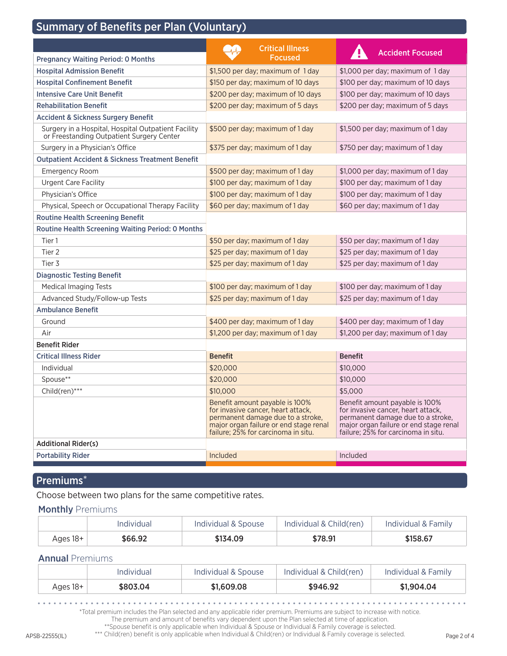# Summary of Benefits per Plan (Voluntary)

|                                                                                                  | <b>Critical Illness</b>                                                                                                                                                                    | <b>Accident Focused</b>                                                                                                                                                                    |
|--------------------------------------------------------------------------------------------------|--------------------------------------------------------------------------------------------------------------------------------------------------------------------------------------------|--------------------------------------------------------------------------------------------------------------------------------------------------------------------------------------------|
| <b>Pregnancy Waiting Period: 0 Months</b>                                                        | <b>Focused</b>                                                                                                                                                                             |                                                                                                                                                                                            |
| <b>Hospital Admission Benefit</b>                                                                | \$1,500 per day; maximum of 1 day                                                                                                                                                          | \$1,000 per day; maximum of 1 day                                                                                                                                                          |
| <b>Hospital Confinement Benefit</b>                                                              | \$150 per day; maximum of 10 days                                                                                                                                                          | \$100 per day; maximum of 10 days                                                                                                                                                          |
| <b>Intensive Care Unit Benefit</b>                                                               | \$200 per day; maximum of 10 days                                                                                                                                                          | \$100 per day; maximum of 10 days                                                                                                                                                          |
| <b>Rehabilitation Benefit</b>                                                                    | \$200 per day; maximum of 5 days                                                                                                                                                           | \$200 per day; maximum of 5 days                                                                                                                                                           |
| <b>Accident &amp; Sickness Surgery Benefit</b>                                                   |                                                                                                                                                                                            |                                                                                                                                                                                            |
| Surgery in a Hospital, Hospital Outpatient Facility<br>or Freestanding Outpatient Surgery Center | \$500 per day; maximum of 1 day                                                                                                                                                            | \$1,500 per day; maximum of 1 day                                                                                                                                                          |
| Surgery in a Physician's Office                                                                  | \$375 per day; maximum of 1 day                                                                                                                                                            | \$750 per day; maximum of 1 day                                                                                                                                                            |
| <b>Outpatient Accident &amp; Sickness Treatment Benefit</b>                                      |                                                                                                                                                                                            |                                                                                                                                                                                            |
| <b>Emergency Room</b>                                                                            | \$500 per day; maximum of 1 day                                                                                                                                                            | \$1,000 per day; maximum of 1 day                                                                                                                                                          |
| Urgent Care Facility                                                                             | \$100 per day; maximum of 1 day                                                                                                                                                            | \$100 per day; maximum of 1 day                                                                                                                                                            |
| Physician's Office                                                                               | \$100 per day; maximum of 1 day                                                                                                                                                            | \$100 per day; maximum of 1 day                                                                                                                                                            |
| Physical, Speech or Occupational Therapy Facility                                                | \$60 per day; maximum of 1 day                                                                                                                                                             | \$60 per day; maximum of 1 day                                                                                                                                                             |
| <b>Routine Health Screening Benefit</b>                                                          |                                                                                                                                                                                            |                                                                                                                                                                                            |
| <b>Routine Health Screening Waiting Period: 0 Months</b>                                         |                                                                                                                                                                                            |                                                                                                                                                                                            |
| Tier 1                                                                                           | \$50 per day; maximum of 1 day                                                                                                                                                             | \$50 per day; maximum of 1 day                                                                                                                                                             |
| Tier 2                                                                                           | \$25 per day; maximum of 1 day                                                                                                                                                             | \$25 per day; maximum of 1 day                                                                                                                                                             |
| Tier 3                                                                                           | \$25 per day; maximum of 1 day                                                                                                                                                             | \$25 per day; maximum of 1 day                                                                                                                                                             |
| <b>Diagnostic Testing Benefit</b>                                                                |                                                                                                                                                                                            |                                                                                                                                                                                            |
| <b>Medical Imaging Tests</b>                                                                     | \$100 per day; maximum of 1 day                                                                                                                                                            | \$100 per day; maximum of 1 day                                                                                                                                                            |
| Advanced Study/Follow-up Tests                                                                   | \$25 per day; maximum of 1 day                                                                                                                                                             | \$25 per day; maximum of 1 day                                                                                                                                                             |
| <b>Ambulance Benefit</b>                                                                         |                                                                                                                                                                                            |                                                                                                                                                                                            |
| Ground                                                                                           | \$400 per day; maximum of 1 day                                                                                                                                                            | \$400 per day; maximum of 1 day                                                                                                                                                            |
| Air                                                                                              | \$1,200 per day; maximum of 1 day                                                                                                                                                          | \$1,200 per day; maximum of 1 day                                                                                                                                                          |
| <b>Benefit Rider</b>                                                                             |                                                                                                                                                                                            |                                                                                                                                                                                            |
| <b>Critical Illness Rider</b>                                                                    | <b>Benefit</b>                                                                                                                                                                             | <b>Benefit</b>                                                                                                                                                                             |
| Individual                                                                                       | \$20,000                                                                                                                                                                                   | \$10,000                                                                                                                                                                                   |
| Spouse**                                                                                         | \$20,000                                                                                                                                                                                   | \$10,000                                                                                                                                                                                   |
| Child(ren)***                                                                                    | \$10,000                                                                                                                                                                                   | \$5,000                                                                                                                                                                                    |
|                                                                                                  | Benefit amount payable is 100%<br>for invasive cancer, heart attack,<br>permanent damage due to a stroke,<br>major organ failure or end stage renal<br>failure; 25% for carcinoma in situ. | Benefit amount payable is 100%<br>for invasive cancer, heart attack,<br>permanent damage due to a stroke,<br>major organ failure or end stage renal<br>failure; 25% for carcinoma in situ. |
| <b>Additional Rider(s)</b>                                                                       |                                                                                                                                                                                            |                                                                                                                                                                                            |
| <b>Portability Rider</b>                                                                         | Included                                                                                                                                                                                   | Included                                                                                                                                                                                   |

## Premiums\*

Choose between two plans for the same competitive rates.

### **Monthly Premiums**

|          | Individual | Individual & Spouse | Individual & Child(ren) | Individual & Family |
|----------|------------|---------------------|-------------------------|---------------------|
| Ages 18+ | \$66.92    | \$134.09            | \$78.91                 | \$158,67            |

### Annual Premiums

|          | Individual | Individual & Spouse | Individual & Child(ren) | Individual & Family |
|----------|------------|---------------------|-------------------------|---------------------|
| Ages 18+ | \$803.04   | \$1,609,08          | \$946.92                | \$1,904.04          |

. . . . . . . . . . . . . . . . . . . 

\*Total premium includes the Plan selected and any applicable rider premium. Premiums are subject to increase with notice.

The premium and amount of benefits vary dependent upon the Plan selected at time of application. \*\*Spouse benefit is only applicable when Individual & Spouse or Individual & Family coverage is selected.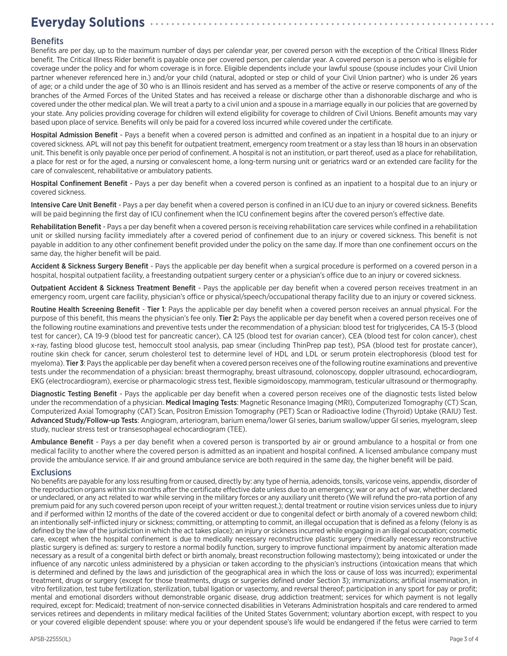# **Everyday Solutions**

### **Benefits**

Benefits are per day, up to the maximum number of days per calendar year, per covered person with the exception of the Critical Illness Rider benefit. The Critical Illness Rider benefit is payable once per covered person, per calendar year. A covered person is a person who is eligible for coverage under the policy and for whom coverage is in force. Eligible dependents include your lawful spouse (spouse includes your Civil Union partner whenever referenced here in.) and/or your child (natural, adopted or step or child of your Civil Union partner) who is under 26 years of age; or a child under the age of 30 who is an Illinois resident and has served as a member of the active or reserve components of any of the branches of the Armed Forces of the United States and has received a release or discharge other than a dishonorable discharge and who is covered under the other medical plan. We will treat a party to a civil union and a spouse in a marriage equally in our policies that are governed by your state. Any policies providing coverage for children will extend eligibility for coverage to children of Civil Unions. Benefit amounts may vary based upon place of service. Benefits will only be paid for a covered loss incurred while covered under the certificate.

Hospital Admission Benefit - Pays a benefit when a covered person is admitted and confined as an inpatient in a hospital due to an injury or covered sickness. APL will not pay this benefit for outpatient treatment, emergency room treatment or a stay less than 18 hours in an observation unit. This benefit is only payable once per period of confinement. A hospital is not an institution, or part thereof, used as a place for rehabilitation, a place for rest or for the aged, a nursing or convalescent home, a long-term nursing unit or geriatrics ward or an extended care facility for the care of convalescent, rehabilitative or ambulatory patients.

Hospital Confinement Benefit - Pays a per day benefit when a covered person is confined as an inpatient to a hospital due to an injury or covered sickness.

Intensive Care Unit Benefit - Pays a per day benefit when a covered person is confined in an ICU due to an injury or covered sickness. Benefits will be paid beginning the first day of ICU confinement when the ICU confinement begins after the covered person's effective date.

Rehabilitation Benefit - Pays a per day benefit when a covered person is receiving rehabilitation care services while confined in a rehabilitation unit or skilled nursing facility immediately after a covered period of confinement due to an injury or covered sickness. This benefit is not payable in addition to any other confinement benefit provided under the policy on the same day. If more than one confinement occurs on the same day, the higher benefit will be paid.

Accident & Sickness Surgery Benefit - Pays the applicable per day benefit when a surgical procedure is performed on a covered person in a hospital, hospital outpatient facility, a freestanding outpatient surgery center or a physician's office due to an injury or covered sickness.

Outpatient Accident & Sickness Treatment Benefit - Pays the applicable per day benefit when a covered person receives treatment in an emergency room, urgent care facility, physician's office or physical/speech/occupational therapy facility due to an injury or covered sickness.

Routine Health Screening Benefit - Tier 1: Pays the applicable per day benefit when a covered person receives an annual physical. For the purpose of this benefit, this means the physician's fee only. Tier 2: Pays the applicable per day benefit when a covered person receives one of the following routine examinations and preventive tests under the recommendation of a physician: blood test for triglycerides, CA 15-3 (blood test for cancer), CA 19-9 (blood test for pancreatic cancer), CA 125 (blood test for ovarian cancer), CEA (blood test for colon cancer), chest x-ray, fasting blood glucose test, hemoccult stool analysis, pap smear (including ThinPrep pap test), PSA (blood test for prostate cancer), routine skin check for cancer, serum cholesterol test to determine level of HDL and LDL or serum protein electrophoresis (blood test for myeloma). Tier 3: Pays the applicable per day benefit when a covered person receives one of the following routine examinations and preventive tests under the recommendation of a physician: breast thermography, breast ultrasound, colonoscopy, doppler ultrasound, echocardiogram, EKG (electrocardiogram), exercise or pharmacologic stress test, flexible sigmoidoscopy, mammogram, testicular ultrasound or thermography.

Diagnostic Testing Benefit - Pays the applicable per day benefit when a covered person receives one of the diagnostic tests listed below under the recommendation of a physician. Medical Imaging Tests: Magnetic Resonance Imaging (MRI), Computerized Tomography (CT) Scan, Computerized Axial Tomography (CAT) Scan, Positron Emission Tomography (PET) Scan or Radioactive Iodine (Thyroid) Uptake (RAIU) Test. Advanced Study/Follow-up Tests: Angiogram, arteriogram, barium enema/lower GI series, barium swallow/upper GI series, myelogram, sleep study, nuclear stress test or transesophageal echocardiogram (TEE).

Ambulance Benefit - Pays a per day benefit when a covered person is transported by air or ground ambulance to a hospital or from one medical facility to another where the covered person is admitted as an inpatient and hospital confined. A licensed ambulance company must provide the ambulance service. If air and ground ambulance service are both required in the same day, the higher benefit will be paid.

### **Exclusions**

No benefits are payable for any loss resulting from or caused, directly by: any type of hernia, adenoids, tonsils, varicose veins, appendix, disorder of the reproduction organs within six months after the certificate effective date unless due to an emergency; war or any act of war, whether declared or undeclared, or any act related to war while serving in the military forces or any auxiliary unit thereto (We will refund the pro-rata portion of any premium paid for any such covered person upon receipt of your written request.); dental treatment or routine vision services unless due to injury and if performed within 12 months of the date of the covered accident or due to congenital defect or birth anomaly of a covered newborn child; an intentionally self-inflicted injury or sickness; committing, or attempting to commit, an illegal occupation that is defined as a felony (felony is as defined by the law of the jurisdiction in which the act takes place); an injury or sickness incurred while engaging in an illegal occupation; cosmetic care, except when the hospital confinement is due to medically necessary reconstructive plastic surgery (medically necessary reconstructive plastic surgery is defined as: surgery to restore a normal bodily function, surgery to improve functional impairment by anatomic alteration made necessary as a result of a congenital birth defect or birth anomaly, breast reconstruction following mastectomy); being intoxicated or under the influence of any narcotic unless administered by a physician or taken according to the physician's instructions (intoxication means that which is determined and defined by the laws and jurisdiction of the geographical area in which the loss or cause of loss was incurred); experimental treatment, drugs or surgery (except for those treatments, drugs or surgeries defined under Section 3); immunizations; artificial insemination, in vitro fertilization, test tube fertilization, sterilization, tubal ligation or vasectomy, and reversal thereof; participation in any sport for pay or profit; mental and emotional disorders without demonstrable organic disease, drug addiction treatment; services for which payment is not legally required, except for: Medicaid; treatment of non-service connected disabilities in Veterans Administration hospitals and care rendered to armed services retirees and dependents in military medical facilities of the United States Government; voluntary abortion except, with respect to you or your covered eligible dependent spouse: where you or your dependent spouse's life would be endangered if the fetus were carried to term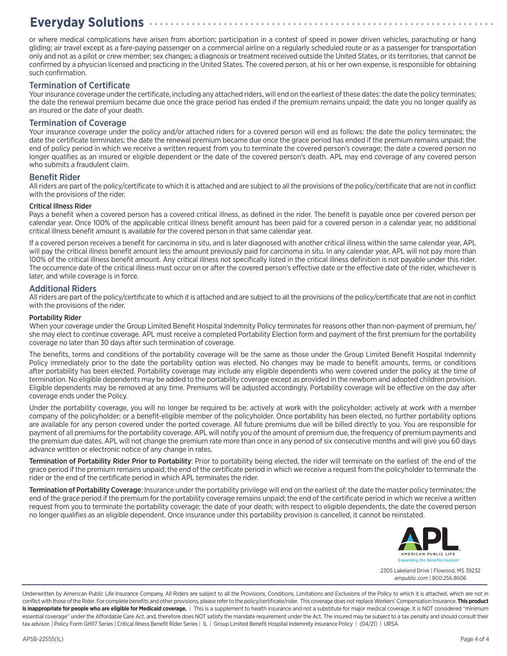# **Everyday Solutions**

or where medical complications have arisen from abortion; participation in a contest of speed in power driven vehicles, parachuting or hang gliding; air travel except as a fare-paying passenger on a commercial airline on a regularly scheduled route or as a passenger for transportation only and not as a pilot or crew member; sex changes; a diagnosis or treatment received outside the United States, or its territories, that cannot be confirmed by a physician licensed and practicing in the United States. The covered person, at his or her own expense, is responsible for obtaining such confirmation.

 $\alpha$  ,  $\alpha$  ,  $\alpha$ 

 $\alpha$  ,  $\alpha$  ,  $\alpha$ 

 $\alpha$  ,  $\alpha$  ,  $\alpha$ 

. . . . . . . . . . . . . . .

 $\alpha$  ,  $\alpha$  ,  $\alpha$ 

### Termination of Certificate

Your insurance coverage under the certificate, including any attached riders, will end on the earliest of these dates: the date the policy terminates; the date the renewal premium became due once the grace period has ended if the premium remains unpaid; the date you no longer qualify as an insured or the date of your death.

### Termination of Coverage

Your insurance coverage under the policy and/or attached riders for a covered person will end as follows: the date the policy terminates; the date the certificate terminates; the date the renewal premium became due once the grace period has ended if the premium remains unpaid; the end of policy period in which we receive a written request from you to terminate the covered person's coverage; the date a covered person no longer qualifies as an insured or eligible dependent or the date of the covered person's death. APL may end coverage of any covered person who submits a fraudulent claim.

#### Benefit Rider

All riders are part of the policy/certificate to which it is attached and are subject to all the provisions of the policy/certificate that are not in conflict with the provisions of the rider.

#### Critical Illness Rider

Pays a benefit when a covered person has a covered critical illness, as defined in the rider. The benefit is payable once per covered person per calendar year. Once 100% of the applicable critical illness benefit amount has been paid for a covered person in a calendar year, no additional critical illness benefit amount is available for the covered person in that same calendar year.

If a covered person receives a benefit for carcinoma in situ, and is later diagnosed with another critical illness within the same calendar year, APL will pay the critical illness benefit amount less the amount previously paid for carcinoma in situ. In any calendar year, APL will not pay more than 100% of the critical illness benefit amount. Any critical illness not specifically listed in the critical illness definition is not payable under this rider. The occurrence date of the critical illness must occur on or after the covered person's effective date or the effective date of the rider, whichever is later, and while coverage is in force.

### Additional Riders

All riders are part of the policy/certificate to which it is attached and are subject to all the provisions of the policy/certificate that are not in conflict with the provisions of the rider.

#### Portability Rider

When your coverage under the Group Limited Benefit Hospital Indemnity Policy terminates for reasons other than non-payment of premium, he/ she may elect to continue coverage. APL must receive a completed Portability Election form and payment of the first premium for the portability coverage no later than 30 days after such termination of coverage.

The benefits, terms and conditions of the portability coverage will be the same as those under the Group Limited Benefit Hospital Indemnity Policy immediately prior to the date the portability option was elected. No changes may be made to benefit amounts, terms, or conditions after portability has been elected. Portability coverage may include any eligible dependents who were covered under the policy at the time of termination. No eligible dependents may be added to the portability coverage except as provided in the newborn and adopted children provision. Eligible dependents may be removed at any time. Premiums will be adjusted accordingly. Portability coverage will be effective on the day after coverage ends under the Policy.

Under the portability coverage, you will no longer be required to be: actively at work with the policyholder; actively at work with a member company of the policyholder; or a benefit-eligible member of the policyholder. Once portability has been elected, no further portability options are available for any person covered under the ported coverage. All future premiums due will be billed directly to you. You are responsible for payment of all premiums for the portability coverage. APL will notify you of the amount of premium due, the frequency of premium payments and the premium due dates. APL will not change the premium rate more than once in any period of six consecutive months and will give you 60 days advance written or electronic notice of any change in rates.

Termination of Portability Rider Prior to Portability: Prior to portability being elected, the rider will terminate on the earliest of: the end of the grace period if the premium remains unpaid; the end of the certificate period in which we receive a request from the policyholder to terminate the rider or the end of the certificate period in which APL terminates the rider.

Termination of Portability Coverage: Insurance under the portability privilege will end on the earliest of: the date the master policy terminates; the end of the grace period if the premium for the portability coverage remains unpaid; the end of the certificate period in which we receive a written request from you to terminate the portability coverage; the date of your death; with respect to eligible dependents, the date the covered person no longer qualifies as an eligible dependent. Once insurance under this portability provision is cancelled, it cannot be reinstated.



2305 Lakeland Drive | Flowood, MS 39232 ampublic.com | 800.256.8606

Underwritten by American Public Life Insurance Company. All Riders are subject to all the Provisions, Conditions, Limitations and Exclusions of the Policy to which it is attached, which are not in conflict with those of the Rider. For complete benefits and other provisions, please refer to the policy/certificate/rider. This coverage does not replace Workers' Compensation Insurance. **This product is inappropriate for people who are eligible for Medicaid coverage.** | This is a supplement to health insurance and not a substitute for major medical coverage. It is NOT considered "minimum essential coverage" under the Affordable Care Act, and, therefore does NOT satisfy the mandate requirement under the Act. The insured may be subject to a tax penalty and should consult their tax advisor. | Policy Form GHI17 Series | Critical Illness Benefit Rider Series | IL | Group Limited Benefit Hospital Indemnity Insurance Policy | (04/21) | URSA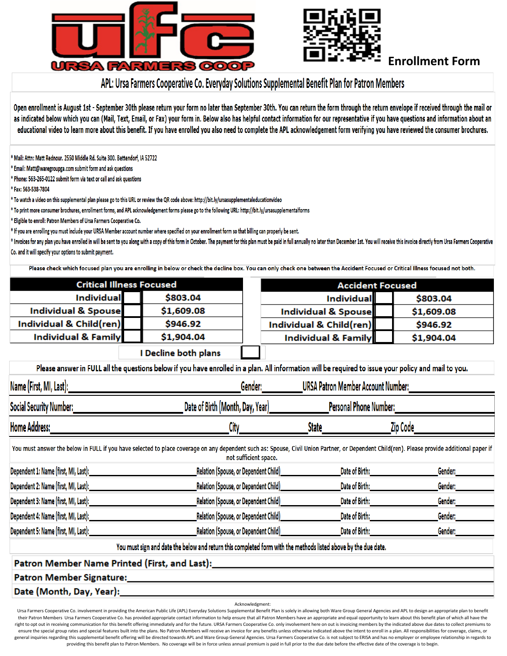



## **Enrollment Form**

# APL: Ursa Farmers Cooperative Co. Everyday Solutions Supplemental Benefit Plan for Patron Members

Open enrollment is August 1st - September 30th please return your form no later than September 30th. You can return the form through the return envelope if received through the mail or as indicated below which you can (Mail, Text, Email, or Fax) your form in. Below also has helpful contact information for our representative if you have questions and information about an educational video to learn more about this benefit. If you have enrolled you also need to complete the APL acknowledgement form verifying you have reviewed the consumer brochures.

\* Mail: Attn: Matt Rednour. 2550 Middle Rd. Suite 300. Bettendorf. IA 52722

\* Email: Matt@waregroupga.com submit form and ask questions

\* Phone: 563-265-0122 submit form via text or call and ask questions

\* Fax: 563-538-7804

\* To watch a video on this supplemental plan please go to this URL or review the QR code above: http://bit.ly/ursasupplementaleducationvideo

\* To print more consumer brochures, enrollment forms, and APL acknowledgement forms please go to the following URL: http://bit.ly/ursasupplementalforms

\* Eligible to enroll: Patron Members of Ursa Farmers Cooperative Co.

\* If you are enrolling you must include your URSA Member account number where specified on your enrollment form so that billing can properly be sent.

\* Invoices for any plan you have enrolled in will be sent to you along with a copy of this form in October. The payment for this plan must be paid in full annually no later than December 1st. You will receive this invoice Co. and it will specify your options to submit payment.

Please check which focused plan you are enrolling in below or check the decline box. You can only check one between the Accident Focused or Critical Illness focused not both.

| <b>Critical Illness Focused</b>                                                                                                                                                                                      |            |                         | <b>Accident Focused</b>            |                                                                                                                                                                                                                                                                                |  |  |
|----------------------------------------------------------------------------------------------------------------------------------------------------------------------------------------------------------------------|------------|-------------------------|------------------------------------|--------------------------------------------------------------------------------------------------------------------------------------------------------------------------------------------------------------------------------------------------------------------------------|--|--|
| <b>Individual</b>                                                                                                                                                                                                    | \$803.04   |                         | <b>Individual</b>                  | \$803.04                                                                                                                                                                                                                                                                       |  |  |
| <b>Individual &amp; Spouse</b>                                                                                                                                                                                       | \$1,609.08 |                         | Individual & Spouse                | \$1,609.08                                                                                                                                                                                                                                                                     |  |  |
| Individual & Child(ren)                                                                                                                                                                                              | \$946.92   | Individual & Child(ren) |                                    | \$946.92                                                                                                                                                                                                                                                                       |  |  |
| <b>Individual &amp; Family</b>                                                                                                                                                                                       | \$1,904.04 |                         | Individual & Family                | \$1,904.04                                                                                                                                                                                                                                                                     |  |  |
| I Decline both plans                                                                                                                                                                                                 |            |                         |                                    |                                                                                                                                                                                                                                                                                |  |  |
| Please answer in FULL all the questions below if you have enrolled in a plan. All information will be required to issue your policy and mail to you.                                                                 |            |                         |                                    |                                                                                                                                                                                                                                                                                |  |  |
| _________________________________URSA Patron Member Account Number:____________                                                                                                                                      |            |                         |                                    |                                                                                                                                                                                                                                                                                |  |  |
| Social Security Number: Name of the Contract of the Contract of the Contract of the Contract of the Contract of                                                                                                      |            |                         |                                    |                                                                                                                                                                                                                                                                                |  |  |
| Home Address:                                                                                                                                                                                                        | City       |                         | State                              | Zip Code                                                                                                                                                                                                                                                                       |  |  |
| You must answer the below in FULL if you have selected to place coverage on any dependent such as: Spouse, Civil Union Partner, or Dependent Child(ren). Please provide additional paper if<br>not sufficient space. |            |                         |                                    |                                                                                                                                                                                                                                                                                |  |  |
|                                                                                                                                                                                                                      |            |                         |                                    | Gender:____________                                                                                                                                                                                                                                                            |  |  |
|                                                                                                                                                                                                                      |            |                         |                                    | Gender: _____________                                                                                                                                                                                                                                                          |  |  |
|                                                                                                                                                                                                                      |            |                         | Date of Birth: <b>Example 2014</b> |                                                                                                                                                                                                                                                                                |  |  |
|                                                                                                                                                                                                                      |            |                         |                                    | <u>Date of Birth: with a state of the state of the state of the state of the state of the state of the state of the state of the state of the state of the state of the state of the state of the state of the state of the stat</u><br>Gender: <b>All Constantinoperation</b> |  |  |
|                                                                                                                                                                                                                      |            |                         |                                    | Date of Birth: <b>Example 2018</b><br>Gender: <b>All Construction</b>                                                                                                                                                                                                          |  |  |
| You must sign and date the below and return this completed form with the methods listed above by the due date.                                                                                                       |            |                         |                                    |                                                                                                                                                                                                                                                                                |  |  |
| Patron Member Name Printed (First, and Last):___________________________________                                                                                                                                     |            |                         |                                    |                                                                                                                                                                                                                                                                                |  |  |
|                                                                                                                                                                                                                      |            |                         |                                    |                                                                                                                                                                                                                                                                                |  |  |
| Date (Month, Day, Year): 1988 1999                                                                                                                                                                                   |            |                         |                                    |                                                                                                                                                                                                                                                                                |  |  |

Acknowledgment:

Ursa Farmers Cooperative Co. involvement in providing the American Public Life (APL) Everyday Solutions Supplemental Benefit Plan is solely in allowing both Ware Group General Agencies and APL to design an appropriate plan their Patron Members Ursa Farmers Cooperative Co, has provided appropriate contact information to help ensure that all Patron Members have an appropriate and equal opportunity to learn about this benefit plan of which all right to opt out in receiving communication for this benefit offering immediately and for the future. URSA Farmers Cooperative Co. only involvement here on out is invoicing members by the indicated above due dates to colle ensure the special group rates and special features built into the plans. No Patron Members will receive an invoice for any benefits unless otherwise indicated above the intent to enroll in a plan. All responsibilities for general inquiries regarding this supplemental benefit offering will be directed towards APL and Ware Group General Agencies. Ursa Farmers Cooperative Co. is not subject to ERISA and has no employer or employee relationship providing this benefit plan to Patron Members. No coverage will be in force unless annual premium is paid in full prior to the due date before the effective date of the coverage is to begin.